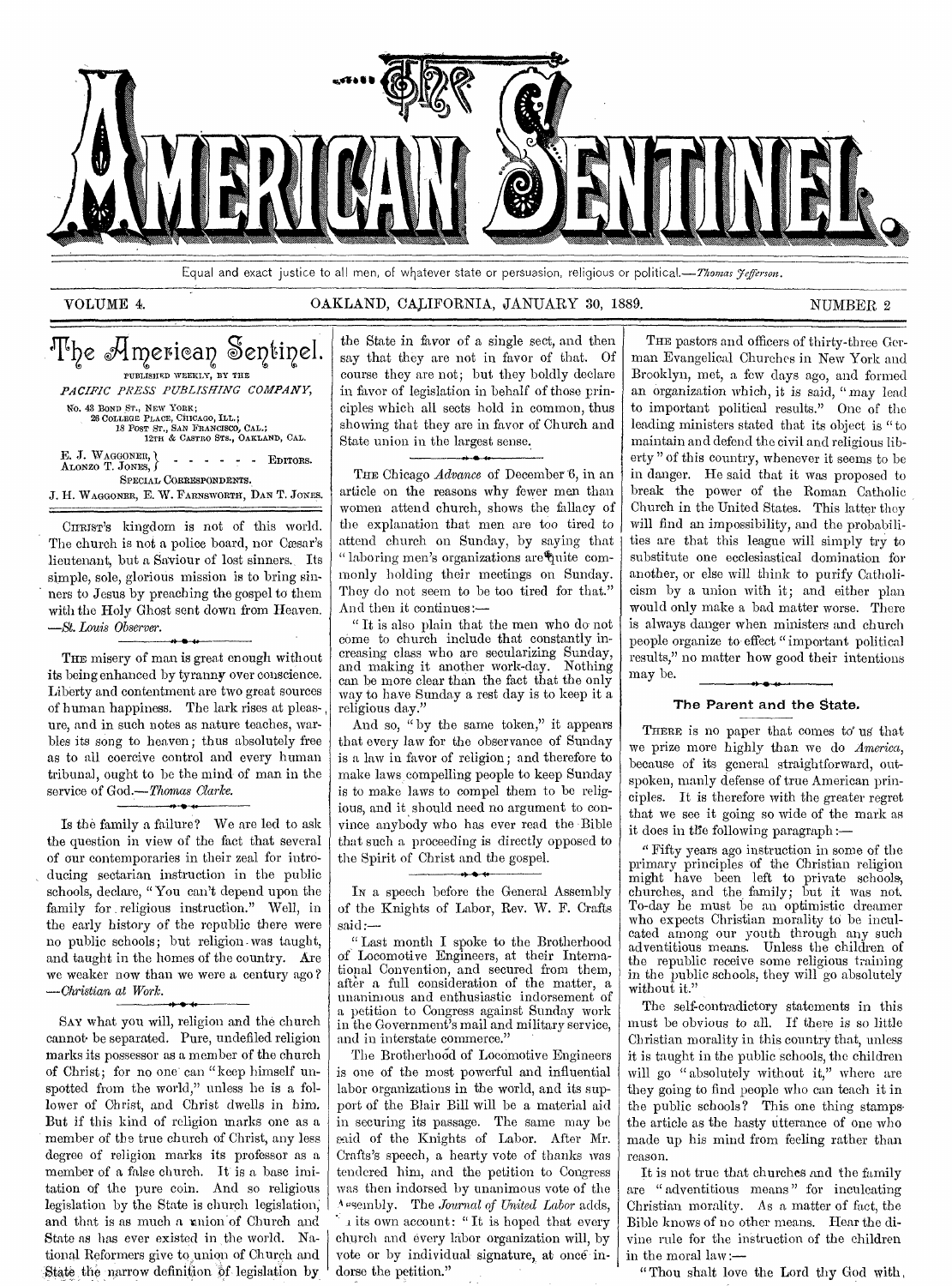

Equal and exact justice to all men, of whatever state or persuasion, religious or political—Thomas *yefferson.* 

# VOLUME 4. OAKLAND, CA,LIFORNI *A.,* JANUARY 30, 1889. NUMBER 2

The American Sentinel. PUBLISHED WEEKLY, BY THE *PACIFIC PRESS PUBLISHING COMPANY,*  No. 43 BOND ST., NEW YORK;<br>
26 COLLEGE PLACE, CHICAGO, ILL.;<br>
18 POST ST., SAN FRANCISCO, CAL.;<br>
12TH & CASTRO STS., OAKLAND, CAL. E. J. WAGGONER, ALONZO T. JONES, SPECIAL CORRESPONDENTS. J. H. WAGGONER, E. W. FARNSWORTH, DAN T. JONES. . . . . . EDITORS.

CITRIST's kingdom is not of this world. The church is not a police board, nor Cæsar's lieutenant, but a Saviour of lost sinners., Its simple, sole, glorious mission is to bring sinners to Jesus by preaching the gospel to them with the Holy Ghost sent down from Heaven. *—St. Louis Observer.* 

THE misery of man is great enough without its being enhanced by tyranny over conscience. Liberty and contentment are two great sources of human happiness. The lark rises at pleasure, and in such notes as nature teaches, warbles its song to heaven; thus absolutely free as to all coercive control and every human tribunal, ought to be the mind of man in the service of *God.—Thomas Clarke.* 

Is the family a failure? We are led to ask the question in view of the fact that several of our contemporaries in their zeal for introducing sectarian instruction in the public schools, declare, " You can't depend upon the family for . religious instruction." Well, in the early history of the republic there were no public schools; but religion was taught, and taught in the homes of the country. Are we weaker now than we were a century ago? *—Christian at Work.* 

SAY what you will, religion and the church cannot. beseparated. Pure, undefiled religion marks its possessor as a member of the church of Christ; for no one can "keep himself unspotted from the world," unless he is a follower of Christ, and Christ dwells in him. But if this kind of religion marks one as a member of the true church of Christ, any less degree of religion marks its professor as a member of a false church. It is a base imitation of the pure coin. And so religious legislation by the State is church legislation; and that is as much a union of Church and State as has ever existed in the world. National Reformers give to union of Church and State the narrow definition of legislation by

the State in favor of a single sect, and then say that they are not in favor of that. Of course they are not; but they boldly declare in favor of legislation in behalf of those principles which all sects hold in common, thus showing that they are in favor of Church and State union in the largest sense.

وتعانق

THE Chicago *Advance* of December 6, in an article on the reasons why fewer men than women attend church, shows the fallacy of the explanation that men are too tired to attend church on Sunday, by saying that " laboring men's organizations are quite commonly holding their meetings on Sunday. They do not seem to be too tired for that." And then it continues:—

" It is also plain that the men who do not come to church include that constantly increasing class who are secularizing Sunday, and making it another work-day. can be more clear than the fact that the only way to have Sunday a rest day is to keep it a religious day."

And so, " by the same token," it appears that every law for the observance of Sunday is a law in favor of religion; and therefore to make laws,compelling people to keep Sunday is to make laws to compel them to be religious, and it should need no argument to convince anybody who has ever read the Bible that such a proceeding is directly opposed to the Spirit of Christ and the gospel.

IN a speech before the General Assembly of the Knights of Labor, Rev. W. F. Crafts said :—

\_" Last month I spoke to the Brotherhood of Locomotive Engineers, at their International Convention, and secured from them, after a full consideration of the matter, a unanimous and enthusiastic indorsement of a petition to Congress against Sunday work in the Government's mail and military service, and in interstate commerce."

The Brotherhood of Locomotive Engineers is one of the most powerful and influential labor organizations in the world, and its support of the Blair Bill will be a material aid in securing its passage. The same may be said of the Knights of Labor. After Mr. Crafts's speech, a hearty vote of thanks was tendered him, and the petition to Congress was then indorsed by unanimous vote of the "sembly. The *Journal of United Labor* adds, 1 its own account: "It is hoped that every church and every labor organization will, by vote or by individual signature, at once indorse the petition."

THE pastors and officers of thirty-three German Evangelical Churches in New York and Brooklyn, met, a few days ago, and formed an organization which, it is said, "may lead to important political results." One of the leading ministers stated that its object is "to maintain and defend the civil and religious liberty" of this country, whenever it seems to be in danger. He said that it was proposed to break the power of the Roman Catholic Church in the United States. This latter they will find an impossibility, and the probabilities are that this league will simply try to substitute one ecclesiastical domination for another, or else will think to purify Catholicism by a union with it; and either plan would only make a bad matter worse. There is always danger when ministers and church people organize to effect "important political results," no matter how good their intentions may be.

## The Parent and the State.

THERE is no paper that comes to° us that we prize more highly than we do *America,*  because of its general straightforward, outspoken, manly defense of true American principles. It is therefore with the greater regret that we see it going so wide of the mark as it does in the following paragraph :—

"Fifty years ago instruction in some of the primary principls of the Christian religion might have been left to private schools., churches, and the family; but it was not. To-day he must be an optimistic dreamer who expects Christian morality to be inculcated among our youth through any such adventitious means. Unless the children of the republic receive some religious training in the public schools, they will go absolutely without it."

The self-contradictory statements in this must be obvious to all. If there is so little Christian morality in this country that, unless it is taught in the public schools, the children will go "absolutely without it," where are they going to find people who can teach it in the public schools? This one thing stampsthe article as the hasty utterance of one who made up his mind from feeling rather than reason.

It is not true that churches and the family are " adventitious means " for inculcating Christian morality. As a matter of fact, the Bible knows of no other means. Hear the divine rule for the instruction of the children in the moral law :—

"Thou shalt love the Lord thy God with,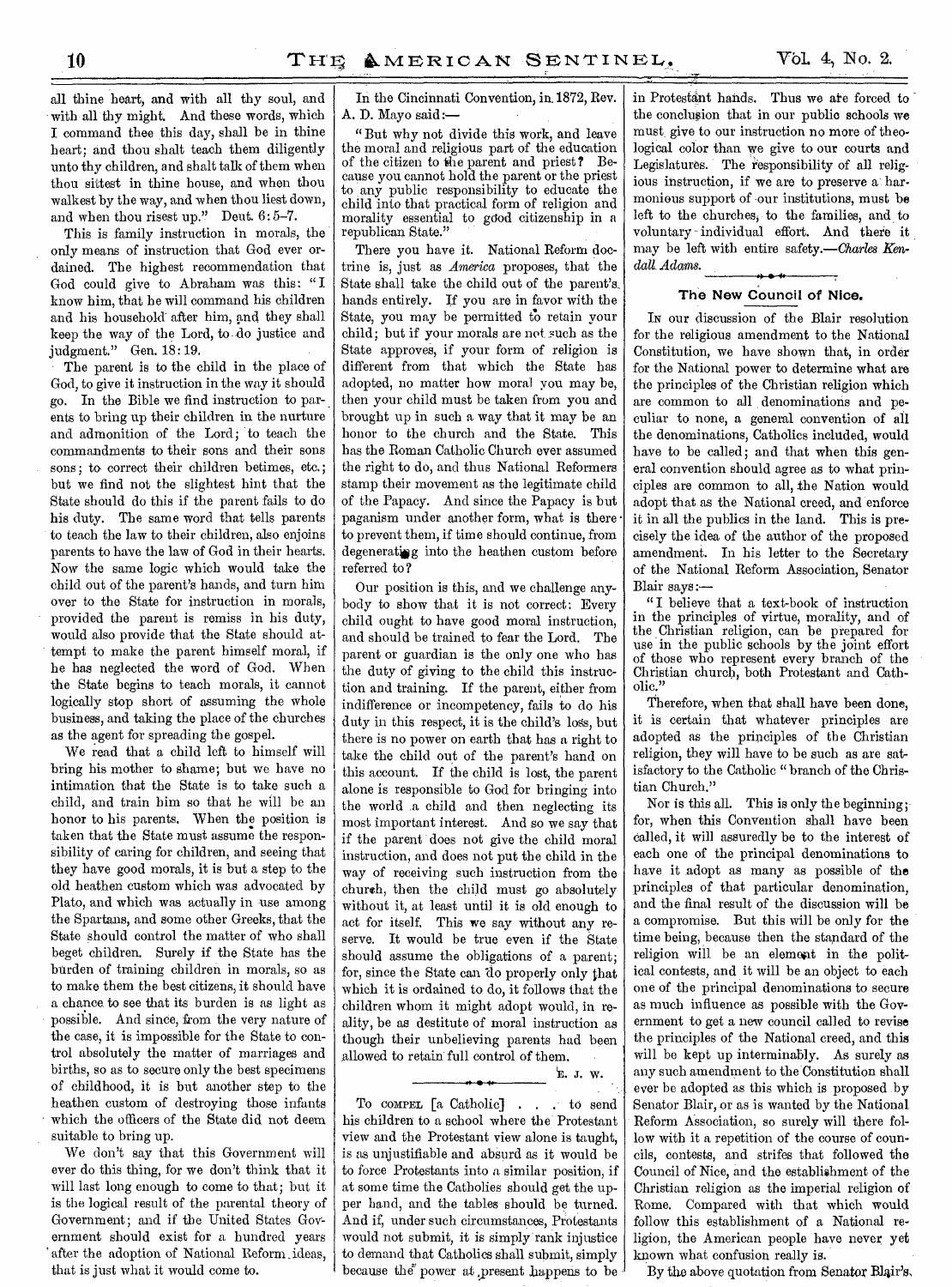all thine heart, and with all thy soul, and with all thy might. And these words, which I command thee this day, shall be in thine heart; and thou shalt teach them diligently unto thy children, and shalt talk of them when thou sittest in thine house, and when thou walkest by the way, and when thou liest down, and when thou risest up." Deut.  $6:5-7$ .

This is family instruction in morals, the only means of instruction that God ever ordained. The highest recommendation that God could give to Abraham was this: " I know him, that he will command his children and his household-after him, and they shall keep the way of the Lord, to .do justice and judgment." Gen. 18: 19.

The parent is to the child in the place of God, to give it instruction in the way it should go. In the Bible we find instruction to parents to bring up their children in the nurture and admonition of the Lord; to teach the commandments to their sons and their sons sons; to correct their children betimes, etc.; but we find not the slightest hint that the State should do this if the parent fails to do his duty. The same word that tells parents to teach the law to their children, also enjoins parents to have the law of God in their hearts. Now the same logic which would take the child out of the parent's hands, and turn him over to the State for instruction in morals, provided the parent is remiss in his duty, would also provide that the State should attempt to make the parent himself moral, if he has neglected the word of God. When the State begins to teach morals, it cannot logically stop short of assuming the whole business, and taking the place of the churches as the agent for spreading the gospel.

We read that a child left to himself will bring his mother to shame; but we have no intimation that the State is to take such a child, and train him so that he will be an honor to his parents. When the position is taken that the State must assume the responsibility of caring for children, and seeing that they have good morals, it is but a step to the old heathen custom which was advocated by Plato, and which was actually in use among the Spartans, and some other Greeks, that the State should control the matter of who shall beget children. Surely if the State has the burden of training children in morals, so as to make them the best citizens, it should have a chance. to see that its burden is as light as possible. And since, from the very nature of the case, it is impossible for the State to control absolutely the matter of marriages and births, so as to secure only the best specimens of childhood, it is but another step to the heathen custom of destroying those infants which the officers of the State did not deem suitable to bring up.

We don't say that this Government will ever do this thing, for we don't think that it will last long enough to come to that; but it is the logical result of the parental theory of Government; and if the United States Government should exist for a hundred years after the adoption of National Reform ,ideas, that is just what it would come to.

In the Cincinnati Convention, in.1872, Rev. A. D. Mayo said

"But why not divide this work, and leave the moral and religious part of the education of the citizen to the parent and priest? Because you cannot hold the parent or the priest to any public responsibility to educate the child into that practical form of religion and morality essential to gdod citizenship in a republican State."

There you have it. National Reform doctrine is, just as *America* proposes, that the State shall take the child out of the parent's\_ hands entirely. If you are in favor with the State, you may be permitted to retain your child; but if your morals are not such as the State approves, if your form of religion is different from that which the State has adopted, no matter how moral you may be, then your child must be taken from you and brought up in such a way that it may be an honor to the church and the State. This has the Roman Catholic Church ever assumed the right to do, and thus National Reformers stamp their movement as the legitimate child of the Papacy. And since the Papacy is but paganism under another form, what is there • to prevent them, if time should continue, from degenerating into the heathen custom before referred to?

Our position is this, and we challenge anybody to show that it is not correct: Every child ought to have good moral instruction, and should be trained to fear the Lord. The parent or guardian is the only one who has the duty of giving to the child this instruction and training. If the parent, either from indifference or incompetency, fails to do his duty in this respect, it is the child's loss, but there is no power on earth that has a right to take the child out of the parent's hand on this account. If the child is lost, the parent alone is responsible to God for bringing into the world .a child and then neglecting its most important interest. And so we say that if the parent does not give the child moral instruction, and does not put the child in the way of receiving such instruction from the church, then the child must go absolutely without it, at least until it is old enough to act for itself. This we say without any reserve. It would be true even if the State should assume the obligations of a parent; for, since the State can do properly only that which it is ordained to do, it follows that the children whom it might adopt would, in reality, be as destitute of moral instruction as though their unbelieving parents had been allowed to retain full control of them.

'E. J. W.

To COMPEL [a Catholic] . . to send his children to a school where the Protestant view and the Protestant view alone is taught, is as unjustifiable and absurd as it would be to force Protestants into a similar position, if at some time the Catholics should get the upper hand, and the tables should be turned. And if, under such circumstances, Protestants would not submit, it is simply- rank injustice to demand that Catholics shall submit, simply because the power at present happens to be

in Protestant hands. Thus we ate forced to the conclusion that in our public schools we must, give to our instruction no more of theological color than we give to our courts and Legislatures. The responsibility of all religious instruction, if we are to preserve a harmonious support of our institutions, must be left to the churches, to the families, and to voluntary - individual effort. And there it may be left with entire *safety.—Charles Kendall, Adams.* 

# **The New Council of Nice.**

IN our discussion of the Blair resolution for the religious amendment to the National Constitution, we have shown that, in order for the National power to determine what are the principles of the Christian religion which are common to all denominations and peculiar to none, a general convention of ail the denominations, Catholics included, would have to be called; and that when this general convention should agree as to what principles are common to all, the Nation would adopt that as the National creed, and enforce it in all the publics in the land. This is precisely the idea of the author of the proposed amendment. In his letter to the Secretary of the National Reform Association, Senator Blair says:—

"I believe that a text-book of instruction in the principles of virtue, morality, and of the Christian religion, can be prepared for use in the public schools by the joint effort of those who represent every branch of the Christian church, both Protestant and Catholic."

Therefore, when that shall have been done, it is certain that whatever principles are adopted as the principles of the Christian religion, they will have to be such as are satisfactory to the Catholic "branch of the Christian Church."

Nor is this all. This is only the beginning; for, when this Convention shall have been called, it will assuredly be to the interest of each one of the principal denominations to have it adopt as many as possible of the principles of that particular denomination, and the final result of the discussion will be a compromise. But this will be only for the time being, because then the standard of the religion will be an element in the political contests, and it will be an object to each one of the principal denominations to secure as much influence as possible with the Government to get a new council called to revise the principles of the National creed, and this will be kept up interminably. As surely as any such amendment to the Constitution shall ever be adopted as this which is proposed .by Senator Blair, or as is wanted by the National Reform Association, so surely will there follow with it a repetition of the course of councils, contests, and strifes that followed the Council of Nice, and the establishment of the Christian religion as the imperial religion of Rome. Compared with that which would follow this establishment of a National religion, the American people have never yet known what confusion really is.

By the above quotation from Senator Blair's,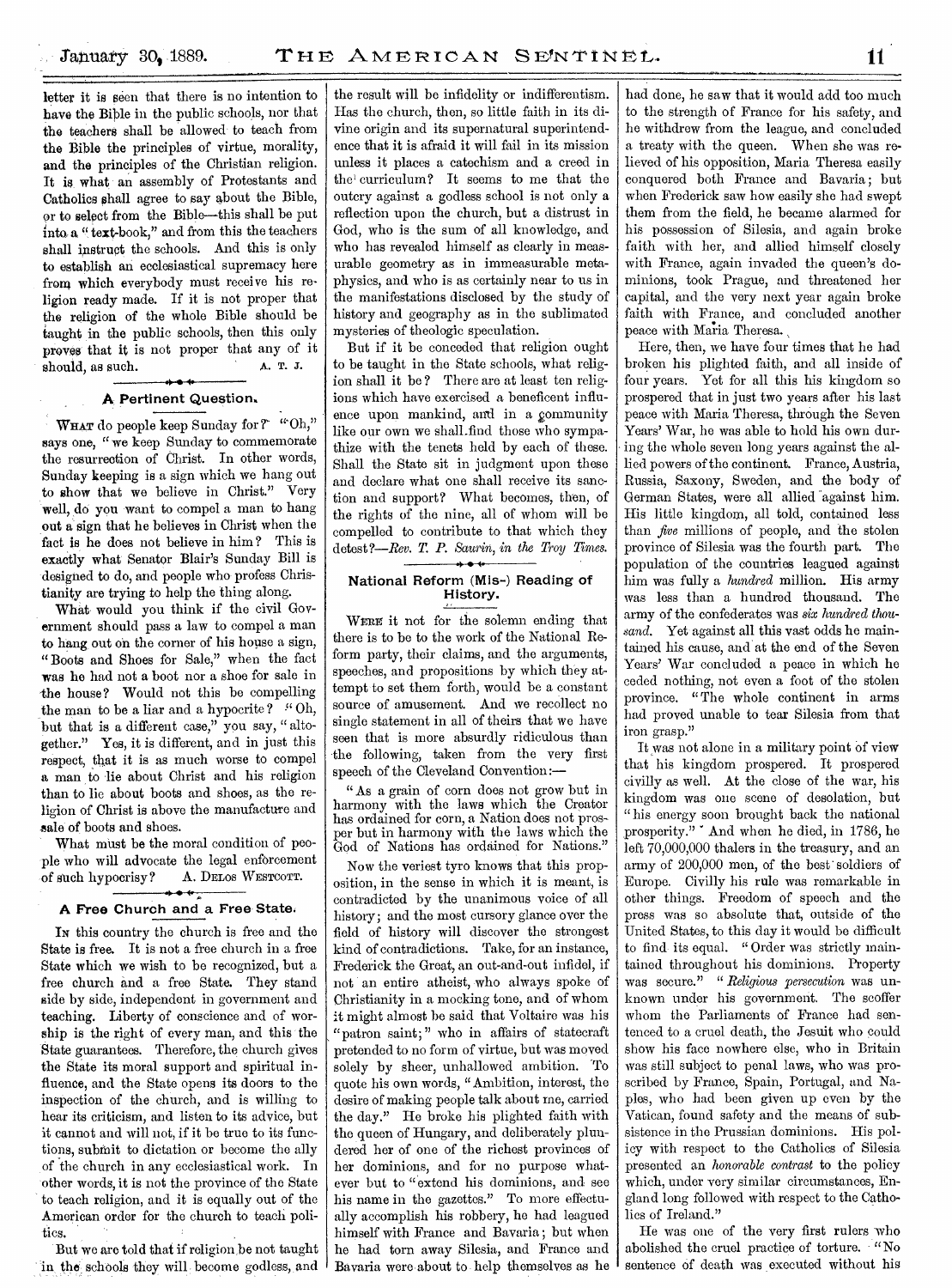letter it is seen that there is no intention to have the Bible in the public schools, nor that the teachers shall be allowed to teach from the Bible the principles of virtue, morality, and the principles of the Christian religion. It is what an assembly of Protestants and Catholics shall agree to say about the Bible, or to select from the Bible—this shall be put into a "text-book," and from this the teachers shall instruct the schools. And this is only to establish an ecclesiastical supremacy here from which everybody must receive his religion ready made. If it is not proper that the religion of the whole Bible should be taught in the public schools, then this only proves that it is not proper that any of it should, as such. **A. T. J.** 

#### **• • 10**  A **Pertinent Question,.**

WHAT do people keep Sunday for ? "Oh," says one, " we keep Sunday to commemorate the resurrection of Christ. In other words, Sunday keeping is a sign which we hang out to show that we believe in Christ." Very well, do you want to compel a man to hang out a sign that he believes in Christ when the fact is he does not believe in him ? This is exactly what Senator Blair's Sunday Bill is designed to do, and people who- profess Christianity are trying to help the thing along.

What would you think if the civil Government should pass a law to compel a man to hang, out on the corner of his house a sign, "Boots and Shoes for Sale," when the fact was he had not a boot nor a shoe for sale in the house? Would not this be compelling the man to be a liar and a hypocrite? "Oh, but that is a different case," you say, " altogether." Yes, it is different, and in just this respect, that it is as much worse to compel a man to lie about Christ and his religion than to lie about boots and shoes, as the religion of Christ is above the manufacture and sale of boots and shoes.

What must be the moral condition of people who will advocate the legal enforcement<br>of such hypocrisy? A. DELOS WESTCOTT. A. DELOS WESTCOTT.

#### $+ + +$ A **Free Church and a Free-State:**

IN this country the church is free and the State is free. It is not a free church in a free State which we wish to be recognized, but a free church and a free State. They stand side by side, independent in government and teaching. Liberty of conscience and of worship is the right of every man, and this the State guarantees. Therefore, the church gives the State its moral support and spiritual influence, and the State opens its doors to the inspection of the church, and is willing to hear its criticism, and listen to its advice, but it cannot and will not, if it be true to its functions, submit to dictation or become the ally of the church in any ecclesiastical work. In other words, it is not the province of the State to teach religion, and it is equally out of the American order for the church to teach politics.

But we are told that if religion be not taught in the schools they will become godless, and

the result will be infidelity or indifferentism. Has the church, then, so little faith in its divine origin and its supernatural superintendence that it is afraid it will fail in its mission unless it places a catechism and a creed in the' curriculum? It seems to me that the outcry against a godless school is not only a reflection upon the church, but a distrust in God, who is the sum of all knowledge, and who has revealed himself as clearly in measurable geometry as in immeasurable metaphysics, and who is as certainly near to us in the manifestations disclosed by the study of history and geography as in the sublimated mysteries of theologic speculation.

But if it be conceded that religion ought to be taught in the State schools, what religion shall it be ? There are at least ten religions which have exercised a beneficent influence upon mankind, and in a community like our own we shall find those who sympathize with the tenets held by each of these. Shall the State sit in judgment upon these and declare what one shall receive its sanction and support? What becomes, then, of the rights of the nine, all of whom will be compelled to contribute to that which they detest ?—Rev. T. P. Saurin, in the Troy Times.

# **National Reform (Mis-) Reading of**  History.

WERE it not for the solemn ending that there is to be to the work of the National Reform party, their claims, and the arguments, speeches, and propositions by which they attempt-to set them forth, would be a constant source of amusement. And we recollect no single statement in all of theirs that we have seen that is more absurdly ridiculous than the following, taken from the very first speech of the Cleveland Convention:—

"As a grain of corn does not grow but in harmony with the laws which the Creator has ordained for corn, a Nation does not prosper but in harmony with the laws which the God of Nations has ordained for Nations."

Now the veriest tyro knows that this proposition, in the sense in which it is meant, is contradicted by the unanimous voice of all history; and the most cursory glance over the field of history will discover the strongest kind of contradictions. Take, for an instance, Frederick the Great, an out-and-out infidel, if not an entire atheist, who always spoke of Christianity in a mocking tone, and of whom it might almost be said that Voltaire was his 'patron saint;" who in affairs of statecraft pretended to no form of virtue, but was moved solely by sheer, unhallowed ambition. To quote his own words, "Ambition, interest, the desire of making people talk about me, carried the day." He broke his plighted faith with the queen of Hungary, and deliberately plundered her of one of the richest provinces of her dominions, and for no purpose whatever but to "extend his dominions, and see his name in the gazettes." To more effectually accomplish his robbery, he had leagued himself with France and Bavaria; but when he had torn away Silesia, and France and Bavaria were about to help themselves as he

had done, he saw that it would add too much to the strength of France for his safety, and he withdrew from the league, and concluded a treaty with the queen. When she was relieved of his opposition, Maria Theresa easily conquered both France and Bavaria; but when Frederick saw how easily she had swept them from the field, he became alarmed for his possession of Silesia, and again broke faith with her, and allied himself closely with France, again invaded the queen's dominions, took Prague, and threatened her capital, and the very next year again broke faith with France, and concluded another peace with Maria Theresa.

Here, then, we have four times that he had broken his plighted faith, and all inside of four years. Yet for all this his kingdom so prospered that in just two years after his last peace with Maria Theresa, through the Seven Years' War, he was able to hold his own during the whole seven long years against the allied powers of the continent. France, Austria, Russia, Saxony, Sweden, and the body of German States, were all allied against him. His little kingdom, all told, contained less than *five* millions of people, and the stolen province of Silesia was the fourth part. The population of the countries leagued against him was fully a *hundred* million. His army was less than a hundred thousand. The army of the confederates was *six hundred thousand.* Yet against all this vast odds he maintained his cause, and at the end of the Seven Years' War concluded a peace in which he ceded nothing, not even a foot of the stolen province. "The whole continent in arms had proved unable to tear Silesia from that iron grasp."

It was not alone in a military point of view that his kingdom prospered. It prospered civilly as well. At the close of the war, his kingdom was one scene of desolation, but "his energy soon brought back the national prosperity." And when he died, in 1786, he left 70,000,000 thalers in the treasury, and an army of 200,000 men, of the best' soldiers of Europe. Civilly his rule was remarkable in other things. Freedom of speech and the press was so absolute that, outside of the United States, to this day it would be difficult to find-its equal. "Order was strictly maintained throughout his dominions. Property was secure." " *Religious persecution* was unknown under his government. The scoffer whom the Parliaments of France had sentenced to a cruel death, the Jesuit who could show his face nowhere else, who in Britain was still subject to penal laws, who was proscribed by France, Spain, Portugal, and Naples, who had been given up even by the Vatican, found safety and the means of subsistence in the Prussian dominions. His policy with respect to the Catholics of Silesia presented an *honorable contrast* to the policy which, under very similar circumstances, England long followed with respect to the Catholics of Ireland."

He was one of the very first rulers who abolished the cruel practice of torture. "No sentence of death was executed without his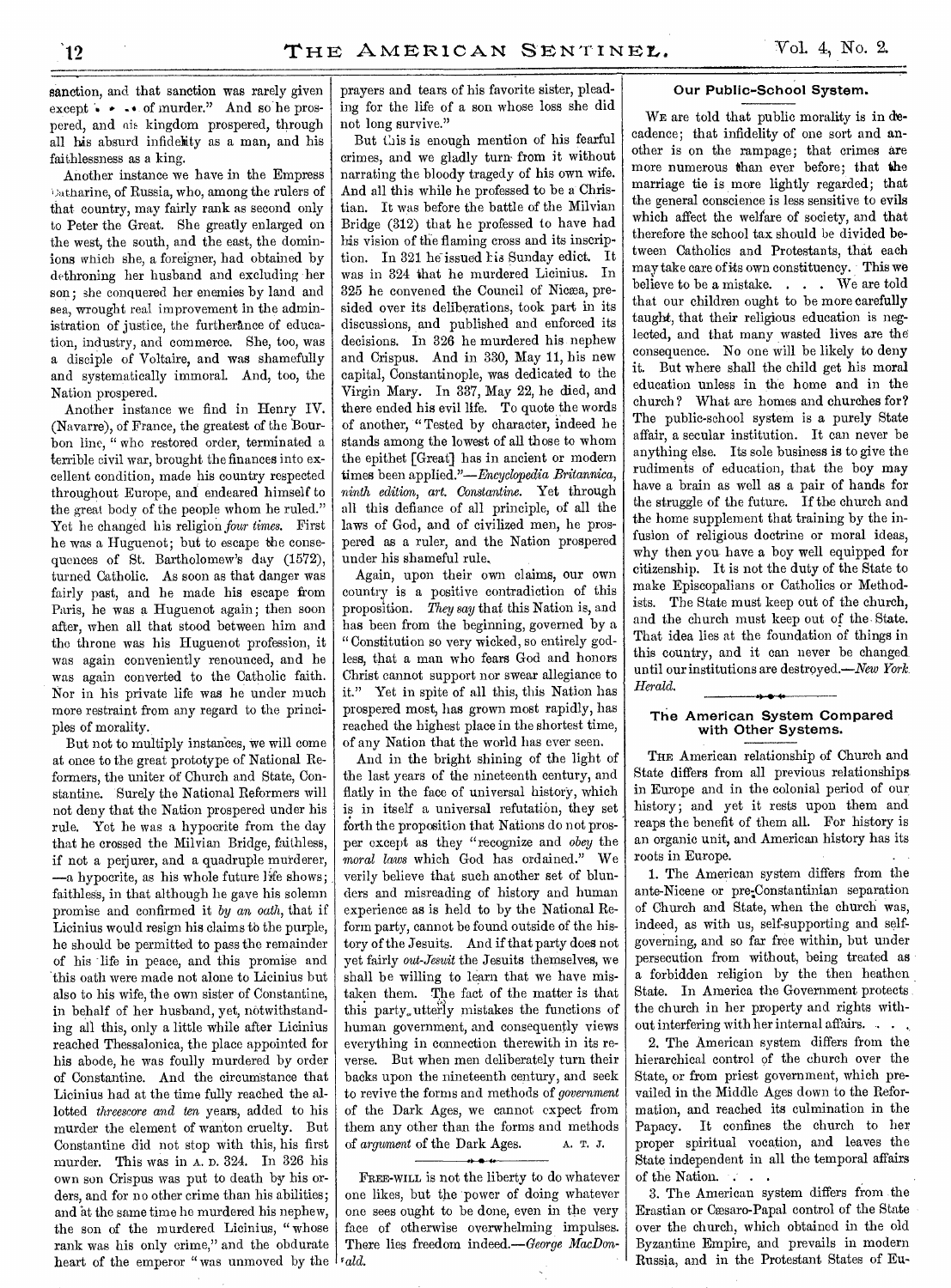sanction, and that sanction was rarely given except  $\cdot \cdot \cdot$  of murder." And so he prospered, and nis kingdom prospered, through all his absurd infidelity as a man, and his faithlessness as a king.

Another instance we have in the Empress atharine, of Russia, who, among the rulers of that country, may fairly rank as second only to Peter the Great. She greatly enlarged on the west, the south, and the east, the dominions which she, a foreigner, had obtained by dethroning her husband and excluding her son ; she conquered her enemies by land and sea, wrought real improvement in the administration of justice, the furtherance of education, industry, and commerce. She, too, was a disciple of Voltaire, and was shamefully and systematically immoral. And, too, the Nation prospered.

Another instance we find in Henry IV. (Navarre), of France, the greatest of the Bourbon line, " who restored order, terminated a terrible civil war, brought the finances into excellent condition, made his country respected throughout Europe, and endeared himself to the great body of the people whom he ruled." Yet he changed his religion *four times.* First he was a Huguenot; but to escape the consequences of St. Bartholomew's day (1572), turned Catholic. As soon as that danger was fairly past, and he made his escape from Paris, he was a Huguenot again; then soon after, when all that stood between him and the throne was his Huguenot profession, it was again conveniently renounced, and he was again converted to the Catholic faith. Nor in his private life was he under much more restraint from any regard to the principles of morality.

But not to multiply instances, we will come at once to the great prototype of National Reformers, the uniter of Church and State, Constantine. Surely the National Reformers will not deny that the Nation prospered under his rule. Yet he was a hypocrite from the day that he crossed the Milvian Bridge, faithless, if not a perjurer, and a quadruple murderer, —a hypocrite, as his whole future life shows; faithless, in that although he gave his solemn promise and confirmed it *by an oath,* that if Licinius would resign his claims to the purple, he should be permitted to pass the remainder of his life in peace, and this promise and this oath were made not alone to Licinius but also to his wife, the own sister of Constantine, in behalf of her husband, yet, notwithstanding all this, only a little while after Licinius reached Thessalonica, the place appointed for his abode, he was foully murdered by order of Constantine. And the circumstance that Licinius had at the time fully reached the allotted *threescore and ten* years, added to his murder the element of wanton cruelty. But Constantine did not stop with this, his first murder. This was in A. D. 324. In 326 his own son Crispus was put to death by his orders, and for no other crime than his abilities; and at the same time he murdered his nephew, the son of the murdered Licinius, " whose rank was his only crime," and the obdurate heart of the emperor "was unmoved by the

prayers and tears of his favorite sister, pleading for the life of a son whose loss she did not long survive."

But this is enough mention of his fearful crimes, and we gladly turn- from it without narrating the bloody tragedy of his own wife. And all this while he professed to be a Christian. It was before the battle of the Milvian Bridge (312) that he professed to have had his vision of the flaming cross and its inscription. In 321 he issued his Sunday edict. It was in 324 that he murdered Licinius. In 325 he convened the Council of Nicæa, presided over its deliberations, took part in its discussions, and published and enforced its decisions. In 326 he murdered his nephew and Crispus. And in 330, May 11, his new capital, Constantinople, was dedicated to the Virgin Mary. In 337, May 22, he died, and there ended his evil life. To quote the words of another, "Tested by character, indeed he stands among the lowest of all those to whom the epithet [Great] has in ancient or modern times been *applied."—Encyclopedia Britannica, ninth edition, art. Constantine.* Yet through all this defiance of all principle, of all the laws of God, and of civilized men, he prospered as a ruler, and the Nation prospered under his shameful rule,

Again, upon their own claims, our own country is a positive contradiction of this proposition. *They say* that this Nation is, and has been from the beginning, governed by a " Constitution so very wicked, so entirely godless, that a man who fears God and honors Christ cannot support nor swear allegiance to it." Yet in spite of all this, this Nation has prospered most, has grown most rapidly, has reached the highest place in the shortest time, of any Nation that the world has ever seen.

And in the bright shining of the light of the last years of the nineteenth century, and flatly in the face of universal history, which is in itself a universal refutation, they set forth the proposition that Nations do not prosper except as they "recognize and *obey* the *moral lanes* which God has ordained." We verily believe that such another set of blunders and misreading of history and human experience as is held to by the National Reform party, cannot be found outside of the history of the Jesuits. And if that party does not yet fairly *out-Jesuit* the Jesuits themselves, we shall be willing to learn that we have mistaken them. The fact of the matter is that this party, utterly mistakes the functions of human government, and consequently views everything in connection therewith in its reverse. But when men deliberately turn their backs upon the nineteenth century, and seek to revive the forms and methods of *government*  of the Dark Ages, we cannot expect from them any other than the forms and methods of *argument* of the Dark Ages. A. T. J.

FREE-WILL is not the liberty to do whatever one likes, but the power of doing whatever one sees ought to be done, even in the very face of otherwise overwhelming impulses. There lies freedom indeed.—George MacDon*f ald.* 

**41 • 4\_** 

## Our Public-School System.

WE are told that public morality is in decadence; that infidelity of one sort and another is on the rampage; that crimes are more numerous than ever before; that the marriage tie is more lightly regarded; that the general conscience is less sensitive to evils which affect the welfare of society, and that therefore the school tax should be divided between Catholics and Protestants, that each may take care of its own constituency. This we believe to be a mistake. . . . We are told that our children ought to be more carefully taught, that their religious education is neglected, and that many wasted lives are the consequence. No one will be likely to deny it. But where shall the child get his moral education unless in the home and in the church? What are homes and churches for? The public-school system is a purely State affair, a secular institution. It can never be anything else. Its sole business is to give the rudiments of education, that the boy may have a brain as well as a pair of hands for the struggle of the future. If the church and the home supplement that training by the infusion of religious doctrine or moral ideas, why then you have a boy well equipped for citizenship. It is not the duty of the State to make Episcopalians or Catholics or Methodists. The State must keep out of the church, and the church must keep out of the State. That idea lies at the foundation of things in this country, and it can never be changed until our institutions are destroyed.—New *York. Herald.* 

# The American System Compared with Other Systems.

THE American relationship of Church and State differs from all previous relationships. in Europe and in the colonial period of our history; and yet it rests upon them and reaps the benefit of them all. For history is an organic unit, and American history has its roots in Europe.

1. The American system differs from the ante-Nicene or pre;Constantinian separation of Church and State, when the church was, indeed, as with us, self-supporting and selfgoverning, and so far free within, but under persecution from without, being treated as a forbidden religion by the then heathen State. In America the Government protects the church in her property and rights without interfering with her internal affairs.  $\ldots$ .

2. The American system differs from the hierarchical control of the church over the State, or from priest government, which prevailed in the Middle Ages down to the Reformation, and reached its culmination in the Papacy. It confines the church to her proper spiritual vocation, and leaves the State independent in all the temporal affairs of the Nation.  $\cdot$  . . .

3. The American system differs from the Erastian or Usaro-Papal control of the State over the church, which obtained in the old Byzantine Empire, and prevails in modern Russia, and in the Protestant States of Eu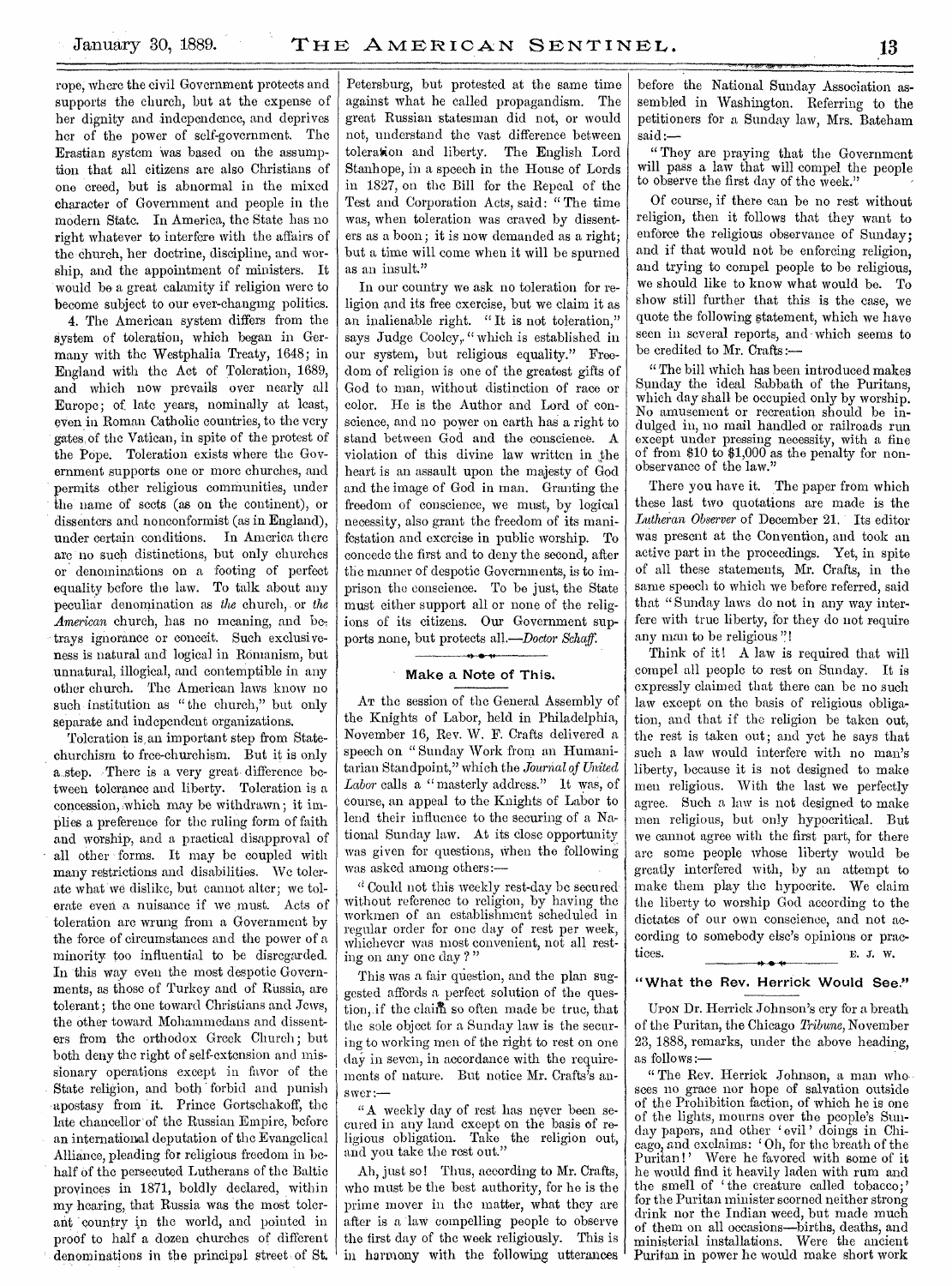rope; where the civil Government protects and supports the church, but at the expense of her dignity and independence, and deprives her of the power of self-government. The Erastian system was based on the assumption \_ that all citizens are also Christians of one creed, but is abnormal in the mixed character of Government and people in the modern State. In America, the State has no right whatever to interfere with the affairs of the church, her doctrine, discipline, and worship, and the appointment of ministers. It would be a great calamity if religion were to become subject to our ever-changing politics.

4. The American system differs from the system of toleration, which began in Germany with the Westphalia Treaty, 1648; in England with the Act of Toleration, 1689, and which now prevails over nearly all Europe; of late years, nominally at least, even in Roman Catholic countries, to the very gates of the Vatican, in spite of the protest of the Pope. Toleration exists where the Government supports one or more churches, and permits other religious communities, under the name of sects (as on the continent), or dissenters and nonconformist (as in England), under certain- conditions. In America there are no such distinctions, but only churches or denominations on a footing of perfect equality before the law. To talk about any peculiar denomination as *the* church, or *the American* church, has no meaning, and betrays ignorance or conceit. Such exclusiveness is natural and logical in Romanism, but unnatural, illogical, and contemptible in any other church. The American laws know no such institution as "the church," but only separate and independent organizations.

Toleration is, an important step from State- , churchism to free-churchism. But it is only a.step. There is a very great difference between tolerance and liberty. Toleration is a concession, :which may be withdrawn ; it implies a preference for the ruling form of faith and worship, and a practical disapproval of all other forms. It may be coupled with many restrictions and disabilities. We tolerate what 'we dislike, but cannot alter; we tolerate even a nuisance if we ,must. Acts of toleration are wrung from a Government by the force of circumstances and the power of a minority too influential to be disregarded. In this way even the most despotic Governments, as those of Turkey and of Russia, are tolerant; the one toward Christians and Jews, the other toward Mohammedans and dissenters from the orthodox Greek Church; but both deny the right of self-extension and missionary operations except in favor of the State religion, and both forbid and punish apostasy from it. Prince Gortschakoff, the late chancellor'of the Russian Empire, before an international deputation of the Evangelical Alliance, pleading for religious freedom in be half of the persecuted Lutherans of the Baltic provinces in 1871, boldly declared, within my hearing, that Russia was the most tolerant country in the world, and pointed in proof to half a dozen churches of different denominations in the principal street of St.

Petersburg, but protested at the same time against what he called propagandism. The great Russian statesman did not, or would not, understand the vast difference between toleration and liberty. The English Lord Stanhope, in a speech in the House of Lords in 1827, on the Bill for the Repeal of the Test and Corporation Acts, said: " The time was, when toleration was craved by dissenters as a boon; it is now demanded as a right; but a time will come when it will be spurned as an insult."

In our country we ask no toleration for religion and its free exercise, but we claim it as an inalienable right. " It is not toleration," says Judge Cooley, "which is established in our system, but religious equality." Freedom of religion is one of the greatest gifts of God to man, without distinction of race or color. He is the Author and Lord of conscience, and no power on earth has a right to stand between God and the conscience. A violation of this divine law written in the heart is an assault upon the majesty of God and the image of God in man. Granting the freedom of conscience, we must, by logical necessity, also grant the freedom of its manifestation and exercise in public worship. To concede the first and to deny the second, after the manner of despotic Governments, is to imprison the conscience. To be just, the State must either support all or none of the religions of its citizens. Our Government supports none, but protects *all.—Doctor Schaff* 

#### Make a Note of This.

AT the session of the General Assembly of the Knights of Labor, held in Philadelphia, November 16, Rev. W. F. Crafts delivered a speech on " Sunday Work from an Humanitarian Standpoint," which the *Journal of United Labor* calls a " masterly address." It was, of course, an appeal to the Knights of Labor to lend their influence to the securing of a National Sunday law. At its close opportunity was given for questions, when the following was asked among others:-

 $\alpha$  Could not this weekly rest-day be securedwithout reference to religion, by having the workmen of an establishment scheduled in regular order for one day of rest per week, whichever was most convenient, not all resting on any one clay ? "

This was a fair question, and the plan suggested affords a perfect solution of the question, if the claims so often made be true, that the sole object for a Sunday law is the securing to working men of the right to rest on one day in seven, in accordance with the requirements of nature. But notice Mr. Crafts's answer :—

" A weekly day of rest has never been secured in any land except on the basis of religious obligation. Take the religion out, and you take the rest out."

Ah, just so! Thus, according to Mr. Crafts, who must be the best authority, for he is the prime mover in the matter, what they are after is a laW compelling people to observe the first day of the week religiously. This is in harmony with the following utterances

before the National Sunday Association assembled in Washington. Referring to the petitioners for a Sunday law, Mrs. Bateham said :—

" They are praying that the Government will pass a law that will compel the people to observe the first day of the week."

Of course, if there can be no rest without religion, then it follows that they want to enforce the religious observance of Sunday; and if that would not be enforcing religion, and trying to compel people to be religious, we should like to know what would be. To show still further that this is the case, we quote the following statement, which we have seen in several reports, and - which seems to be credited to Mr. Crafts:—

" The bill which has been introduced makes Sunday the ideal Sabbath of the Puritans, which day shall be occupied only by worship. No amusement or recreation should be indulged in, no mail handled or railroads run except under pressing necessity, with a fine of from \$10 to \$1,000 as the penalty for nonobservance of the law."

There you have it. The paper from which these last two quotations are made is the *Lutheran Observer* of December 21. Its editor was present at the Convention, and took an active part in the proceedings. Yet, in spite of all these statements, Mr. Crafts, in the same speech to which we before referred, said that " Sunday laws do not in any way interfere with true liberty, for they do not require any man to be religious "!

Think of it! A law is required that will compel all people to rest on Sunday. It is expressly claimed that there can be no such law except on the basis of religious obligation, and that if the religion be taken out, the rest is taken out; and yet he says that such a law would interfere with no man's liberty, because it is not designed to make men religious. With the last we perfectly agree. Such a law is not designed to make men religious, but only hypocritical. But we cannot agree with the first part, for there are some people whose liberty would be greatly interfered with, by an attempt to make them play the hypocrite. We claim the liberty to worship God according to the dictates of our own conscience, and not according to somebody else's opinions or practices. E. J. W.

## "What the Rev. Herrick Would See."

UPON Dr. Herrick Johnson's cry for a breath of the Puritan, the Chicago *Tribune,* November 23, 1888, remarks, under the above heading, as follows:—

" The Rev. Herrick Johnson, a man whosees no grace nor hope of salvation outside of the Prohibition faction, of which he is one of the lights, mourns over the people's Sunday papers, and other 'evil' doings in Chicago, and exclaims: ' Oh, for the breath of the Were he favored with some of it he would find it heavily laden with rum and the smell of 'the creature called tobacco;' for the Puritan minister scorned neither strong drink nor the Indian weed, but made much of them on all occasions—births, deaths, and ministerial installations. Were the ancient Puritan in power he would make short work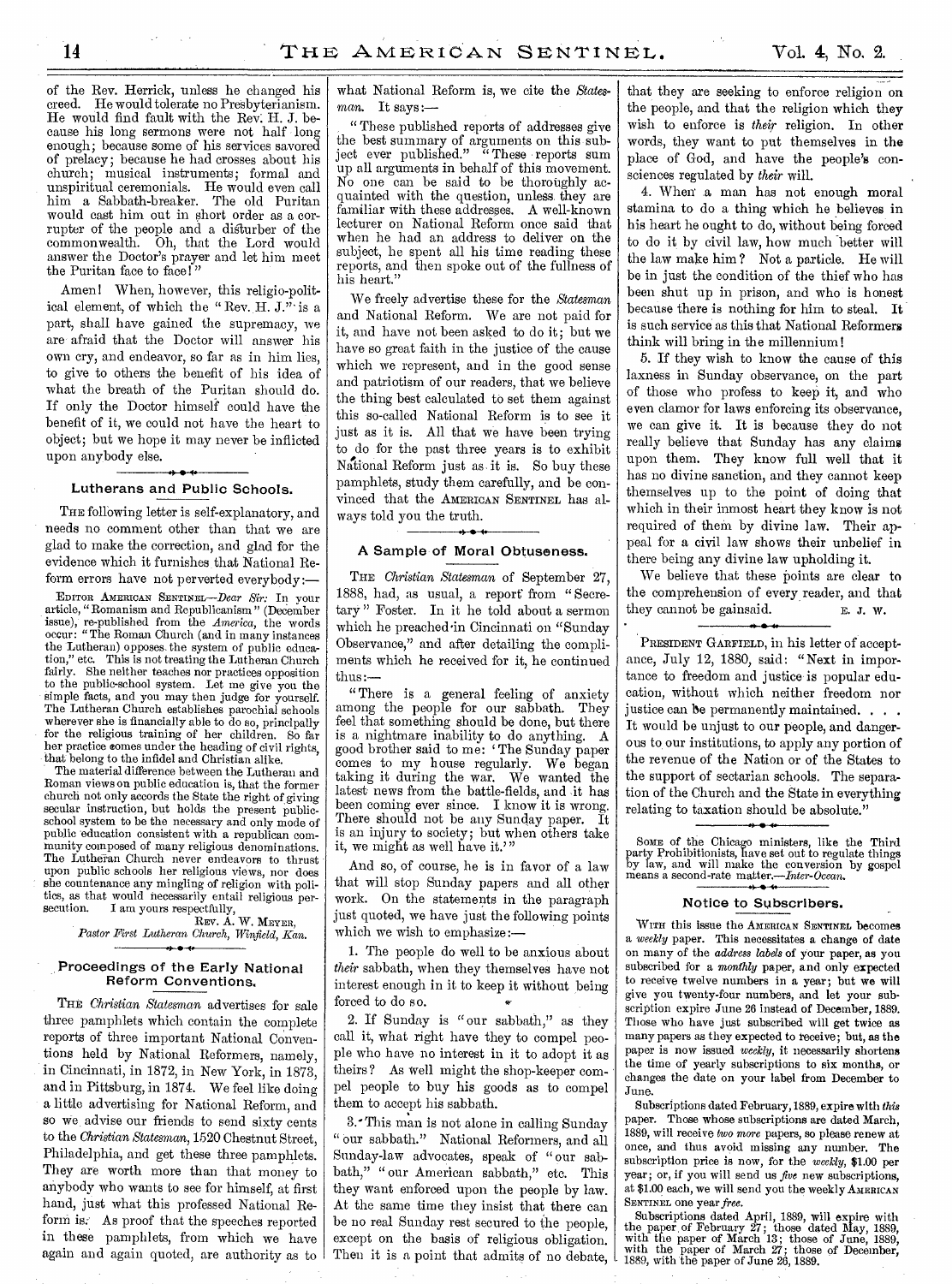of the Rev. Herrick, unless he changed his creed. He would tolerate no Presbyterianism. He would find fault with the Rev: H. J. because his long sermons were not half long enough; because some of his services savored of prelacy; because he had crosses about his church; musical instruments; formal and unspiritual ceremonials. He would even call him a Sabbath-breaker. The old Puritan would cast him out in short order as a corrupter of the people and a disturber of the commonwealth. Oh, that the Lord would answer the Doctor's prayer and let him meet the Puritan face to face!"

Amen! When, however, this religio-political element, of which the "Rev. H.  $J.^{n}$  is a part, shall have gained the supremacy, we are afraid that the Doctor will answer his own cry, and endeavor, so far as in him lies, to give to others the benefit of his idea of what the breath of the Puritan should do. If only the Doctor himself could have the benefit of it, we could not have the heart to object; but we hope it may never be inflicted upon anybody else.

## Lutherans and Public Schools.

THE following letter is self-explanatory, and needs no comment other than that we are glad to make the correction, and glad for the evidence which it furnishes that National Reform errors have not perverted everybody:

EDITOR AMERICAN SENTINEL—Dear *Sir:* In your article, " Romanism and Republicanism" (December issue), re-published from the *America,* the words occur: "The Roman Church (and in many instances the Lutheran) opposes the system of public education," etc. This is not treating the Lutheran Church fairly. She neither teaches nor practices opposition to the public-school system. Let me give you the simple facts, and you may then judge for yourself. The Lutheran Church establishes parochial schools wherever she is financially able to do so, principally for the religious training of her children. So far her practice comes under the heading of civil rights, that belong to the infidel and Christian alike.

The material difference between the Lutheran and Roman views on public education is, that the former church not only accords the State the right of giving secular instruction, but holds the present publicschool system to be the necessary and only mode of public education consistent with a republican community composed of many religious denominations. The Lutheran Church never endeavors to thrust upon public schools her religious views, nor does she countenance any mingling of religion with politics, as that would necessarily entail religious persecution. I am yours respectfully,

> REV. A. W. MEYER, **Pastor First Lutheran Church, Winfield, Kan. .**

# Proceedings of the Early National Reform Conventions.

THE *Christian Statesman* advertises for sale three pamphlets which contain the complete reports of three important National Conventions held by National Reformers, namely, in Cincinnati, in 1872, in New York, in 1873, and in Pittsburg, in 1874. We feel like doing a little advertising for National Reform, and so We advise our friends to send sixty cents to the *Christian Statesman,* 1520 Chestnut Street, Philadelphia, and get these three pamphlets. They are worth more than that money to anybody who wants to see for himself; at first hand, just what this professed National Reform is: As proof that the speeches reported in tbese pamphlets, from which we have again and again quoted, are authority as to

what National Reform is, we cite the *Statesman.* It says

" These published reports of addresses give the best summary of arguments on this subject ever published." "These reports sum up all arguments in behalf of this movement. No one can be said to be thoroughly acquainted with the question, unless. they are familiar with these addresses. A well-known lecturer on National Reform once said that when he had an address to deliver on the subject, he spent all his time reading these reports, and then spoke out of the fullness of his heart."

We freely advertise these for the *Statesman*  and National Reform. We are not paid for it, and have not been asked to do it; but we have so great faith in the justice of the cause which we represent, and in the good sense and patriotism of our readers, that we believe the thing best calculated to set them against this so-called National Reform is to see it just as it is. All that we have been trying to do for the past three years is to exhibit National Reform just as it is. So buy these pamphlets, study them carefully, and be convinced that the AMERICAN SENTINEL has always told you the truth.

# A Sample of Moral Obtuseness.

THE *Christian Statesman* of September 27, 1888, had, as usual, a report from " Secretary " Foster. In it he told about a sermon which he preached •in Cincinnati on "Sunday Observance," and after detailing the compliments which he received for it, he continued thus:—

" There is a general feeling of anxiety among the people for our sabbath. They feel that something should be done, but there is a nightmare inability to do anything. A good brother said to me: The Sunday paper comes to my house regularly. We began taking it during the war. We wanted the latest news from the battle-fields, and it has been coming ever since. I know it is wrong. There should not be any Sunday paper. It is an injury to society; but when others take it, we might as well have it.'"

And so, of course, he is in favor of a law that will stop Sunday papers and all other work. On the statements in the paragraph just quoted, we have just the following points which we wish to emphasize:-

1. The people do well to be anxious about *their* sabbath, when they themselves have not interest enough in it to keep it without being forced to do so.

2. If Sunday is "our sabbath," as they call it, what right have they to compel people who have no interest in it to adopt it as theirs ? As well might the shop-keeper compel people to buy his goods as to compel them to accept his sabbath.

3.-This man is not alone in calling Sunday " Our sabbath." National Reformers, and all Sunday-law advocates, speak of " our sabbath," " our American sabbath," etc. This they want enforced upon the people by law. At the same time they insist that there can be no real Sunday rest secured to the people, except on the basis of religious obligation. Then it is a point that admits of no debate,

that they are seeking to enforce religion on the people, and that the religion which they wish to enforce is *their* religion. In other words, they want to put themselves in the place of God, and have the people's consciences regulated by *their* will.

4. When a man has not enough moral stamina to do a thing which he believes in his heart he ought to do, without being forced to do it by civil law, how much better will the law make him ? Not a particle. He will be in just the condition of the thief who has been shut up in prison, and who is honest because there is nothing for him to steal. It is such service as this that National Reformers think will bring in the millennium!

5. If they wish to know the cause of this laxness in Sunday observance, on the part of those who profess to keep it, and who even clamor for laws enforcing its observance, we can give it. It is because they do not really believe that Sunday has any claims upon them. They know full well that it has no divine sanction, and they cannot keep themselves up to the point of doing that which in their inmost heart they know is not required of them by divine law. Their appeal for a civil law shows their unbelief in there being any divine law upholding it.

We believe that these points are clear to the comprehension of every reader, and that they cannot be gainsaid.  $E. J. W.$ 

PRESIDENT GARFIELD, in his letter of acceptance, July 12, 1880, said: "Next in importance to freedom and justice is popular education, without which neither freedom nor justice can be permanently maintained. . . . It would be unjust to our people, and dangerous to our institutions, to apply any portion of the revenue of the Nation or of the States to the support of sectarian schools. The separation of the Church and the State in everything relating to taxation should be absolute."

SOME of the Chicago ministers, like the Third party Prohibitionists, have set out to regulate things by law, and will make the conversion by gospel means a second-rate *matter.—Inter-Ocean.* 

#### Notice to Subscribers.

WITH this issue the AMERICAN SENTINEL becomes a *weekly* paper. This necessitates a change of date on many of the *address labels* of your paper, as you subscribed for a *monthly* paper, and only expected to receive twelve numbers in a year; but we will give you twenty-four numbers, and let your subscription expire June 26 instead of December, 1889. Those who have just subscribed will get twice as many papers as they expected to receive; but, as the paper is now issued *weekly,* it necessarily shortens the time of yearly subscriptions to six months, or changes the date on your label from December to June.

Subscriptions dated February, 1889, expire with *this*  paper. Those whose subscriptions are dated March, 1889, will receive *two more* papers, so please renew at once, and thus avoid missing any number. The subscription price is now, for the *weekly,* \$1.00 per year; or, if you will send us *five* new subscriptions, at \$1.00 each, we will send you the weekly AMERICAN SENTINEL one year *free.* 

Subscriptions dated April, 1889, will expire with the paper of February 27; those dated May, 1889, with the paper of March 13; those of June, 1889, with the paper of March 27; those of December, 1889, with the paper of June 26, 1889.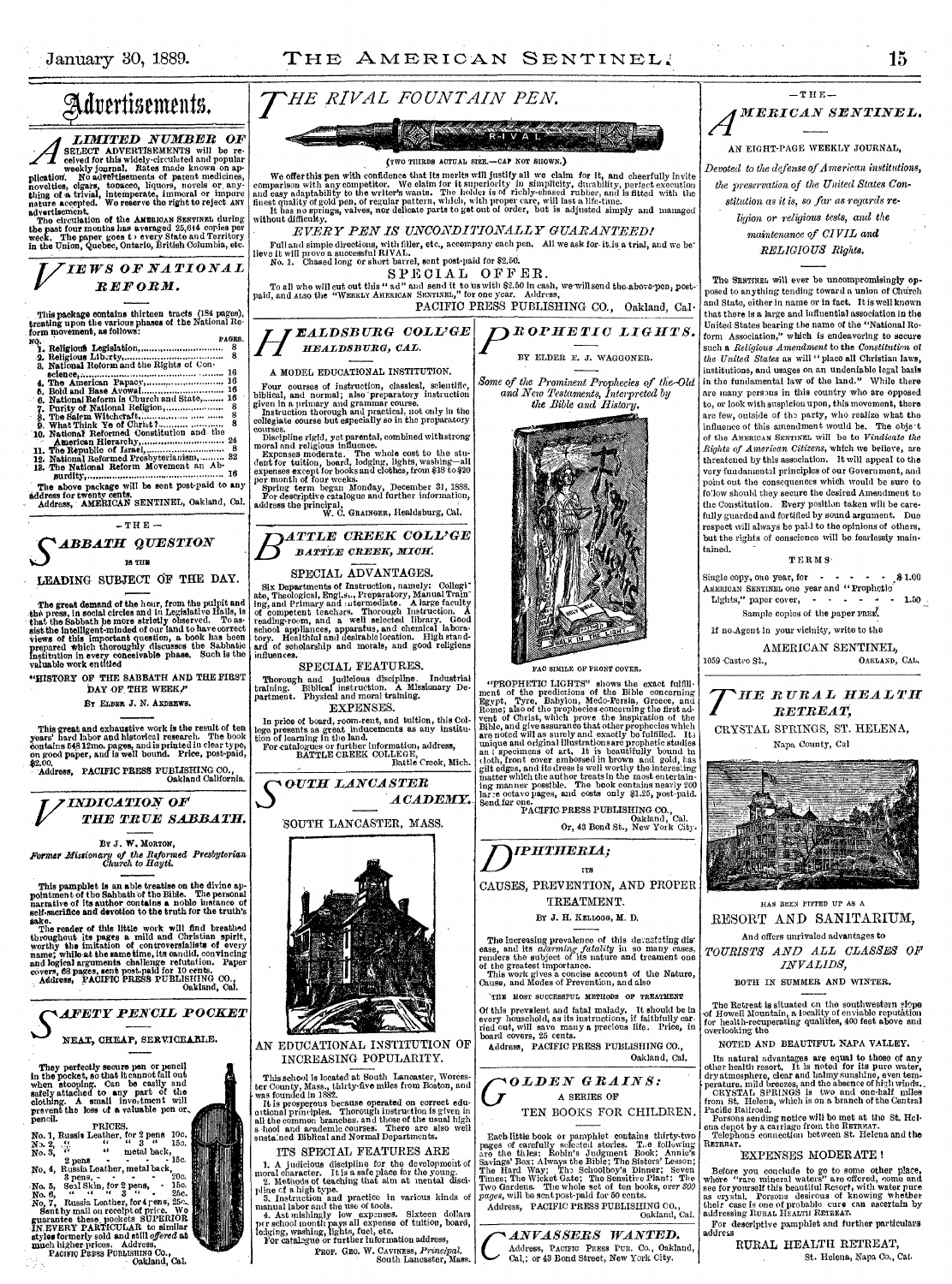